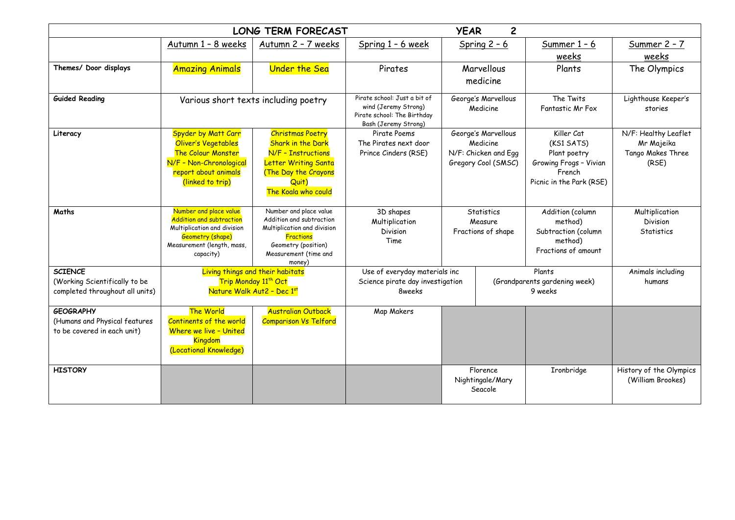|                                 | <b>YEAR</b>                                             | $\overline{c}$                                          |                                                                                                             |                                 |                      |                                  |                                |
|---------------------------------|---------------------------------------------------------|---------------------------------------------------------|-------------------------------------------------------------------------------------------------------------|---------------------------------|----------------------|----------------------------------|--------------------------------|
|                                 | Autumn 1 - 8 weeks                                      | Autumn 2 - 7 weeks                                      | Spring 1 - 6 week                                                                                           | Spring $2 - 6$                  |                      | Summer $1 - 6$                   | Summer 2 - 7                   |
|                                 |                                                         |                                                         |                                                                                                             |                                 |                      | weeks                            | weeks                          |
| Themes/ Door displays           | <b>Amazing Animals</b>                                  | <b>Under the Sea</b>                                    | Pirates                                                                                                     | Marvellous                      |                      | Plants                           | The Olympics                   |
|                                 |                                                         |                                                         |                                                                                                             |                                 | medicine             |                                  |                                |
| <b>Guided Reading</b>           | Various short texts including poetry                    |                                                         | Pirate school: Just a bit of<br>wind (Jeremy Strong)<br>Pirate school: The Birthday<br>Bash (Jeremy Strong) | George's Marvellous<br>Medicine |                      | The Twits<br>Fantastic Mr Fox    | Lighthouse Keeper's<br>stories |
| Literacy                        | Spyder by Matt Carr                                     | <b>Christmas Poetry</b>                                 | Pirate Poems                                                                                                | George's Marvellous             |                      | Killer Cat                       | N/F: Healthy Leaflet           |
|                                 | Oliver's Vegetables                                     | <b>Shark in the Dark</b>                                | The Pirates next door                                                                                       | Medicine                        |                      | (KS1 SATS)                       | Mr Majeika                     |
|                                 | <b>The Colour Monster</b>                               | N/F - Instructions                                      | Prince Cinders (RSE)                                                                                        |                                 | N/F: Chicken and Egg | Plant poetry                     | Tango Makes Three              |
|                                 | N/F - Non-Chronological<br>report about animals         | <b>Letter Writing Santa</b><br>(The Day the Crayons     |                                                                                                             |                                 | Gregory Cool (SMSC)  | Growing Frogs - Vivian<br>French | (RSE)                          |
|                                 | (linked to trip)                                        | Quit)                                                   |                                                                                                             |                                 |                      | Picnic in the Park (RSE)         |                                |
|                                 |                                                         | The Koala who could                                     |                                                                                                             |                                 |                      |                                  |                                |
| Maths                           | Number and place value                                  | Number and place value                                  | 3D shapes                                                                                                   | Statistics<br>Measure           |                      | Addition (column                 | Multiplication                 |
|                                 | Addition and subtraction<br>Multiplication and division | Addition and subtraction<br>Multiplication and division | Multiplication                                                                                              |                                 |                      | method)                          | Division                       |
|                                 | Geometry (shape)                                        | <b>Fractions</b>                                        | Division                                                                                                    |                                 | Fractions of shape   | Subtraction (column              | <b>Statistics</b>              |
|                                 | Measurement (length, mass,                              | Geometry (position)                                     | Time                                                                                                        |                                 |                      | method)<br>Fractions of amount   |                                |
|                                 | capacity)                                               | Measurement (time and<br>money)                         |                                                                                                             |                                 |                      |                                  |                                |
| <b>SCIENCE</b>                  |                                                         | Living things and their habitats                        | Use of everyday materials inc                                                                               | Plants                          |                      | Animals including                |                                |
| (Working Scientifically to be   | Trip Monday 11 <sup>th</sup> Oct                        |                                                         | Science pirate day investigation                                                                            |                                 |                      | (Grandparents gardening week)    | humans                         |
| completed throughout all units) |                                                         | Nature Walk Aut2 - Dec 1st                              |                                                                                                             | 8weeks                          |                      | 9 weeks                          |                                |
| <b>GEOGRAPHY</b>                | The World                                               | <b>Australian Outback</b>                               | Map Makers                                                                                                  |                                 |                      |                                  |                                |
| (Humans and Physical features   | Continents of the world                                 | <b>Comparison Vs Telford</b>                            |                                                                                                             |                                 |                      |                                  |                                |
| to be covered in each unit)     | Where we live - United                                  |                                                         |                                                                                                             |                                 |                      |                                  |                                |
|                                 | <b>Kingdom</b><br>(Locational Knowledge)                |                                                         |                                                                                                             |                                 |                      |                                  |                                |
|                                 |                                                         |                                                         |                                                                                                             |                                 |                      |                                  |                                |
| <b>HISTORY</b>                  |                                                         |                                                         |                                                                                                             | Florence<br>Nightingale/Mary    |                      | Ironbridge                       | History of the Olympics        |
|                                 |                                                         |                                                         |                                                                                                             |                                 |                      |                                  | (William Brookes)              |
|                                 |                                                         |                                                         |                                                                                                             | Seacole                         |                      |                                  |                                |
|                                 |                                                         |                                                         |                                                                                                             |                                 |                      |                                  |                                |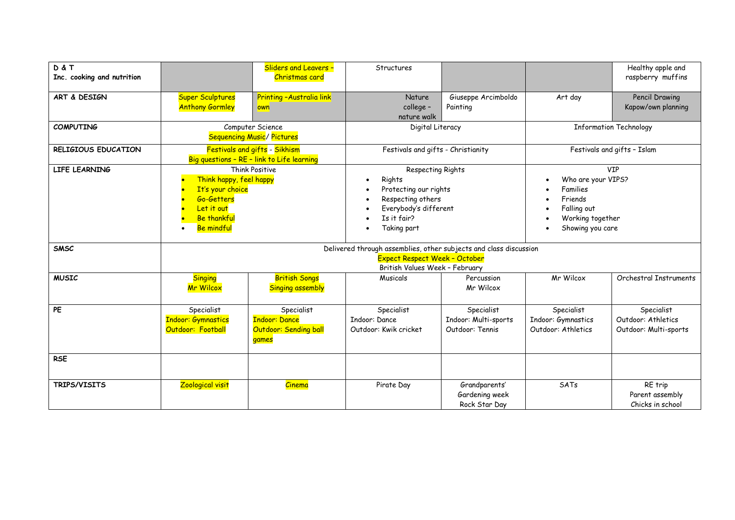| D & T<br>Inc. cooking and nutrition |                                                                                                                                             | <b>Sliders and Leavers -</b><br>Christmas card                       | Structures                                                                                                                                                              |                                                       |                                                                                                                | Healthy apple and<br>raspberry muffins                    |  |  |  |  |
|-------------------------------------|---------------------------------------------------------------------------------------------------------------------------------------------|----------------------------------------------------------------------|-------------------------------------------------------------------------------------------------------------------------------------------------------------------------|-------------------------------------------------------|----------------------------------------------------------------------------------------------------------------|-----------------------------------------------------------|--|--|--|--|
| ART & DESIGN                        | <b>Super Sculptures</b><br><b>Anthony Gormley</b>                                                                                           | Printing - Australia link<br>own                                     | Nature<br>college -<br>nature walk                                                                                                                                      | Giuseppe Arcimboldo<br>Painting                       | Art day                                                                                                        | Pencil Drawing<br>Kapow/own planning                      |  |  |  |  |
| <b>COMPUTING</b>                    | Computer Science<br><b>Sequencing Music/ Pictures</b>                                                                                       |                                                                      | Digital Literacy                                                                                                                                                        |                                                       | <b>Information Technology</b>                                                                                  |                                                           |  |  |  |  |
| RELIGIOUS EDUCATION                 | <b>Festivals and gifts - Sikhism</b><br>Big questions - RE - link to Life learning                                                          |                                                                      | Festivals and gifts - Christianity                                                                                                                                      |                                                       | Festivals and gifts - Islam                                                                                    |                                                           |  |  |  |  |
| LIFE LEARNING                       | Think Positive<br>Think happy, feel happy<br>It's your choice<br>Go-Getters<br>Let it out<br><b>Be thankful</b><br><b>Be mindful</b>        |                                                                      | Respecting Rights<br>Rights<br>$\bullet$<br>Protecting our rights<br>Respecting others<br>$\bullet$<br>Everybody's different<br>$\bullet$<br>Is it fair?<br>Taking part |                                                       | <b>VIP</b><br>Who are your VIPS?<br>Families<br>Friends<br>Falling out<br>Working together<br>Showing you care |                                                           |  |  |  |  |
| <b>SMSC</b>                         | Delivered through assemblies, other subjects and class discussion<br><b>Expect Respect Week - October</b><br>British Values Week - February |                                                                      |                                                                                                                                                                         |                                                       |                                                                                                                |                                                           |  |  |  |  |
| <b>MUSIC</b>                        | <b>Singing</b><br><b>Mr Wilcox</b>                                                                                                          | <b>British Songs</b><br><b>Singing assembly</b>                      | Musicals                                                                                                                                                                | Percussion<br>Mr Wilcox                               | Mr Wilcox                                                                                                      | Orchestral Instruments                                    |  |  |  |  |
| PE                                  | Specialist<br><b>Indoor: Gymnastics</b><br>Outdoor: Football                                                                                | Specialist<br><b>Indoor: Dance</b><br>Outdoor: Sending ball<br>games | Specialist<br><b>Indoor: Dance</b><br>Outdoor: Kwik cricket                                                                                                             | Specialist<br>Indoor: Multi-sports<br>Outdoor: Tennis | Specialist<br>Indoor: Gymnastics<br>Outdoor: Athletics                                                         | Specialist<br>Outdoor: Athletics<br>Outdoor: Multi-sports |  |  |  |  |
| <b>RSE</b>                          |                                                                                                                                             |                                                                      |                                                                                                                                                                         |                                                       |                                                                                                                |                                                           |  |  |  |  |
| TRIPS/VISITS                        | Zoological visit                                                                                                                            | <b>Cinema</b>                                                        | Pirate Day                                                                                                                                                              | Grandparents'<br>Gardening week<br>Rock Star Day      | SATs                                                                                                           | RE trip<br>Parent assembly<br>Chicks in school            |  |  |  |  |